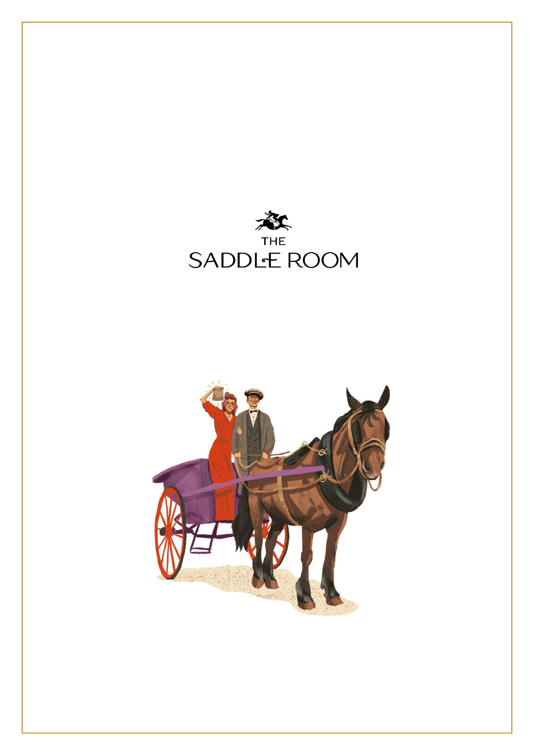

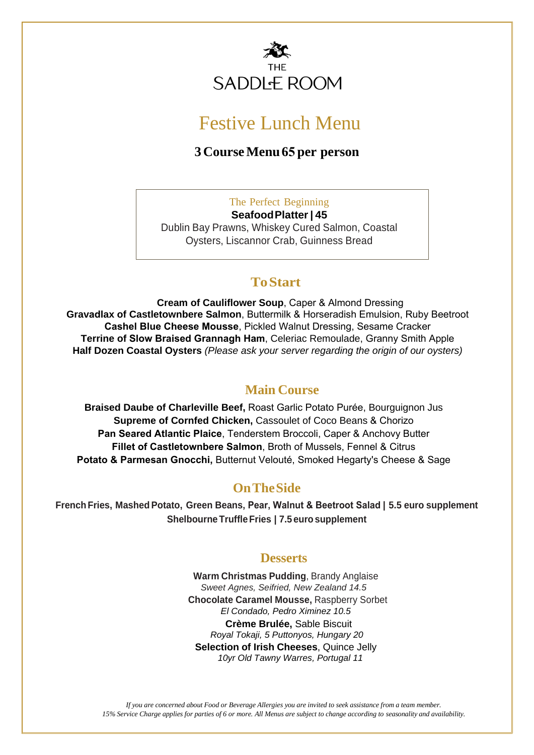

# Festive Lunch Menu

#### **3 Course Menu 65 per person**

The Perfect Beginning **Seafood Platter | 45** Dublin Bay Prawns, Whiskey Cured Salmon, Coastal Oysters, Liscannor Crab, Guinness Bread

#### **To Start**

**Cream of Cauliflower Soup**, Caper & Almond Dressing **Gravadlax of Castletownbere Salmon**, Buttermilk & Horseradish Emulsion, Ruby Beetroot **Cashel Blue Cheese Mousse**, Pickled Walnut Dressing, Sesame Cracker **Terrine of Slow Braised Grannagh Ham**, Celeriac Remoulade, Granny Smith Apple **Half Dozen Coastal Oysters** *(Please ask your server regarding the origin of our oysters)*

### **Main Course**

**Braised Daube of Charleville Beef,** Roast Garlic Potato Purée, Bourguignon Jus **Supreme of Cornfed Chicken,** Cassoulet of Coco Beans & Chorizo **Pan Seared Atlantic Plaice**, Tenderstem Broccoli, Caper & Anchovy Butter **Fillet of Castletownbere Salmon**, Broth of Mussels, Fennel & Citrus **Potato & Parmesan Gnocchi,** Butternut Velouté, Smoked Hegarty's Cheese & Sage

#### **OnThe Side**

**French Fries, Mashed Potato, Green Beans, Pear, Walnut & Beetroot Salad | 5.5 euro supplement Shelbourne Truffle Fries | 7.5 euro supplement**

#### **Desserts**

**Warm Christmas Pudding**, Brandy Anglaise *Sweet Agnes, Seifried, New Zealand 14.5* **Chocolate Caramel Mousse,** Raspberry Sorbet *El Condado, Pedro Ximinez 10.5* **Crème Brulée,** Sable Biscuit  *Royal Tokaji, 5 Puttonyos, Hungary 20* **Selection of Irish Cheeses**, Quince Jelly  *10yr Old Tawny Warres, Portugal 11*

*If you are concerned about Food or Beverage Allergies you are invited to seek assistance from a team member.* 15% Service Charge applies for parties of 6 or more. All Menus are subject to change according to seasonality and availability.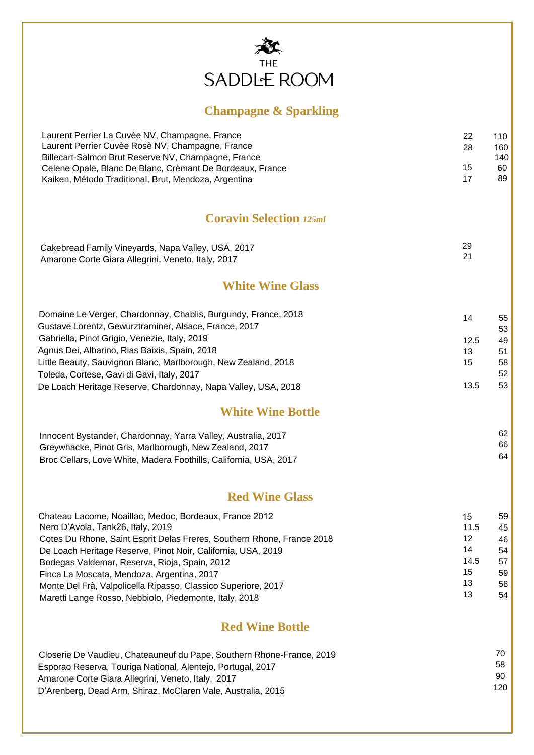

## **Champagne & Sparkling**

| Laurent Perrier La Cuvèe NV, Champagne, France<br>Laurent Perrier Cuvèe Rosè NV, Champagne, France<br>Billecart-Salmon Brut Reserve NV, Champagne, France | 22<br>28 | 110<br>160<br>140 |  |
|-----------------------------------------------------------------------------------------------------------------------------------------------------------|----------|-------------------|--|
| Celene Opale, Blanc De Blanc, Crèmant De Bordeaux, France<br>Kaiken, Método Traditional, Brut, Mendoza, Argentina                                         | 15<br>17 | 60<br>89          |  |
| <b>Coravin Selection 125ml</b>                                                                                                                            |          |                   |  |
| Cakebread Family Vineyards, Napa Valley, USA, 2017                                                                                                        | 29       |                   |  |
| Amarone Corte Giara Allegrini, Veneto, Italy, 2017                                                                                                        | 21       |                   |  |
| <b>White Wine Glass</b>                                                                                                                                   |          |                   |  |
| Domaine Le Verger, Chardonnay, Chablis, Burgundy, France, 2018                                                                                            | 14       | 55                |  |
| Gustave Lorentz, Gewurztraminer, Alsace, France, 2017                                                                                                     |          | 53                |  |
| Gabriella, Pinot Grigio, Venezie, Italy, 2019                                                                                                             | 12.5     | 49                |  |
| Agnus Dei, Albarino, Rias Baixis, Spain, 2018                                                                                                             | 13       | 51                |  |
| Little Beauty, Sauvignon Blanc, Marlborough, New Zealand, 2018                                                                                            | 15       | 58                |  |
| Toleda, Cortese, Gavi di Gavi, Italy, 2017                                                                                                                |          | 52                |  |
| De Loach Heritage Reserve, Chardonnay, Napa Valley, USA, 2018                                                                                             | 13.5     | 53                |  |
| <b>White Wine Bottle</b>                                                                                                                                  |          |                   |  |
| Innocent Bystander, Chardonnay, Yarra Valley, Australia, 2017                                                                                             |          | 62                |  |
| Greywhacke, Pinot Gris, Marlborough, New Zealand, 2017                                                                                                    |          | 66                |  |
| Broc Cellars, Love White, Madera Foothills, California, USA, 2017                                                                                         |          | 64                |  |
| <b>Red Wine Glass</b>                                                                                                                                     |          |                   |  |
| Chateau Lacome, Noaillac, Medoc, Bordeaux, France 2012                                                                                                    | 15       | 59                |  |
| Nero D'Avola, Tank26, Italy, 2019                                                                                                                         | 11.5     | 45                |  |
| Cotes Du Rhone, Saint Esprit Delas Freres, Southern Rhone, France 2018                                                                                    | 12       | 46                |  |
| De Loach Heritage Reserve, Pinot Noir, California, USA, 2019                                                                                              | 14       | 54                |  |
| Bodegas Valdemar, Reserva, Rioja, Spain, 2012                                                                                                             | 14.5     | 57                |  |
| Finca La Moscata, Mendoza, Argentina, 2017                                                                                                                | 15       | 59                |  |
| Monte Del Frà, Valpolicella Ripasso, Classico Superiore, 2017                                                                                             | 13       | 58                |  |
| Maretti Lange Rosso, Nebbiolo, Piedemonte, Italy, 2018                                                                                                    | 13       | 54                |  |

#### **Red Wine Bottle**

| Closerie De Vaudieu, Chateauneuf du Pape, Southern Rhone-France, 2019 | 70.  |
|-----------------------------------------------------------------------|------|
| Esporao Reserva, Touriga National, Alentejo, Portugal, 2017           | 58   |
| Amarone Corte Giara Allegrini, Veneto, Italy, 2017                    | 90.  |
| D'Arenberg, Dead Arm, Shiraz, McClaren Vale, Australia, 2015          | 120. |